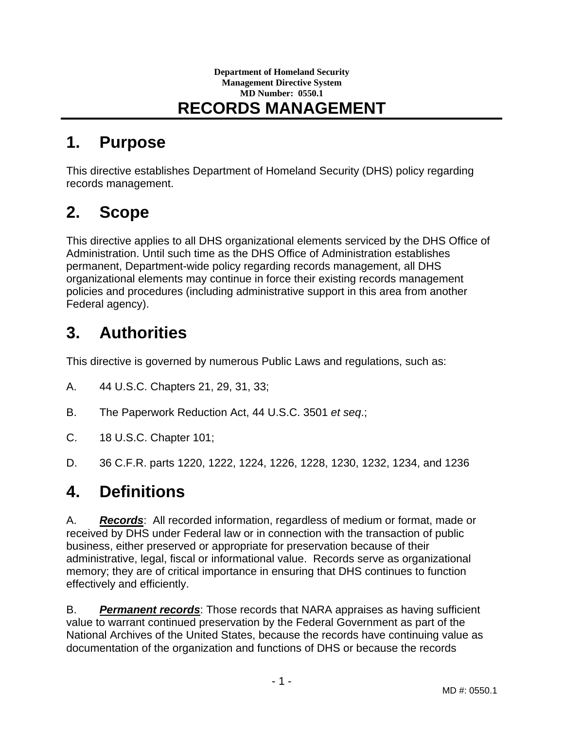#### **Department of Homeland Security Management Directive System MD Number: 0550.1 RECORDS MANAGEMENT**

### **1. Purpose**

This directive establishes Department of Homeland Security (DHS) policy regarding records management.

## **2. Scope**

This directive applies to all DHS organizational elements serviced by the DHS Office of Administration. Until such time as the DHS Office of Administration establishes permanent, Department-wide policy regarding records management, all DHS organizational elements may continue in force their existing records management policies and procedures (including administrative support in this area from another Federal agency).

## **3. Authorities**

This directive is governed by numerous Public Laws and regulations, such as:

- A. 44 U.S.C. Chapters 21, 29, 31, 33;
- B. The Paperwork Reduction Act, 44 U.S.C. 3501 *et seq*.;
- C. 18 U.S.C. Chapter 101;
- D. 36 C.F.R. parts 1220, 1222, 1224, 1226, 1228, 1230, 1232, 1234, and 1236

#### **4. Definitions**

A. *Records*: All recorded information, regardless of medium or format, made or received by DHS under Federal law or in connection with the transaction of public business, either preserved or appropriate for preservation because of their administrative, legal, fiscal or informational value. Records serve as organizational memory; they are of critical importance in ensuring that DHS continues to function effectively and efficiently.

B. *Permanent records*: Those records that NARA appraises as having sufficient value to warrant continued preservation by the Federal Government as part of the National Archives of the United States, because the records have continuing value as documentation of the organization and functions of DHS or because the records